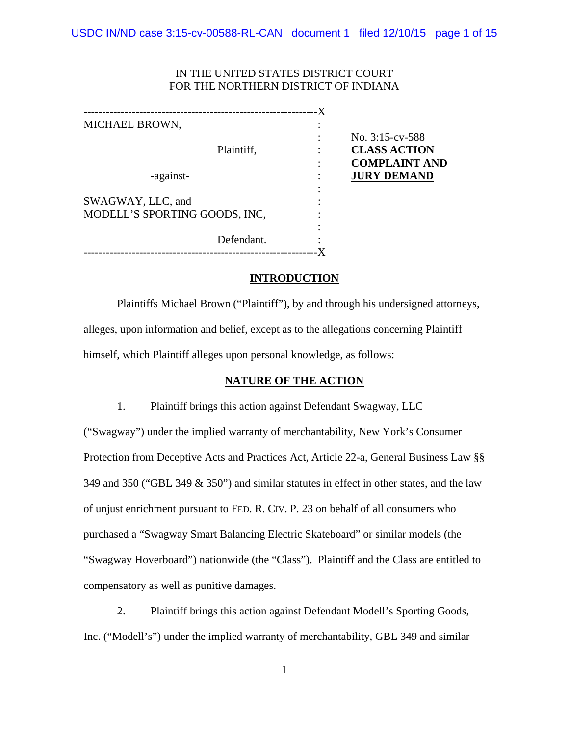## IN THE UNITED STATES DISTRICT COURT FOR THE NORTHERN DISTRICT OF INDIANA

|                               | $\cdot X$ |                      |
|-------------------------------|-----------|----------------------|
| MICHAEL BROWN,                |           |                      |
|                               |           | No. $3:15$ -cv-588   |
| Plaintiff,                    |           | <b>CLASS ACTION</b>  |
|                               |           | <b>COMPLAINT AND</b> |
| -against-                     |           | <b>JURY DEMAND</b>   |
|                               |           |                      |
| SWAGWAY, LLC, and             |           |                      |
| MODELL'S SPORTING GOODS, INC, |           |                      |
|                               |           |                      |
| Defendant.                    |           |                      |
|                               |           |                      |

## **INTRODUCTION**

Plaintiffs Michael Brown ("Plaintiff"), by and through his undersigned attorneys, alleges, upon information and belief, except as to the allegations concerning Plaintiff himself, which Plaintiff alleges upon personal knowledge, as follows:

## **NATURE OF THE ACTION**

1. Plaintiff brings this action against Defendant Swagway, LLC ("Swagway") under the implied warranty of merchantability, New York's Consumer Protection from Deceptive Acts and Practices Act, Article 22-a, General Business Law §§ 349 and 350 ("GBL 349 & 350") and similar statutes in effect in other states, and the law of unjust enrichment pursuant to FED. R. CIV. P. 23 on behalf of all consumers who purchased a "Swagway Smart Balancing Electric Skateboard" or similar models (the "Swagway Hoverboard") nationwide (the "Class"). Plaintiff and the Class are entitled to compensatory as well as punitive damages.

2. Plaintiff brings this action against Defendant Modell's Sporting Goods, Inc. ("Modell's") under the implied warranty of merchantability, GBL 349 and similar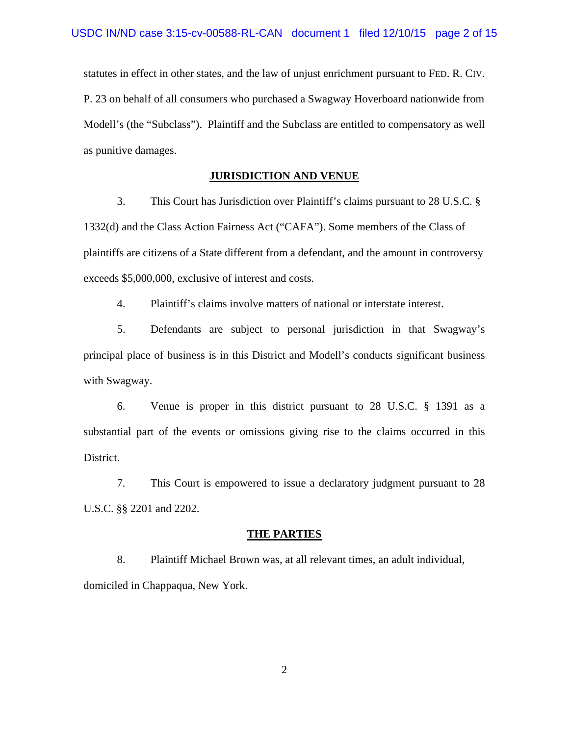statutes in effect in other states, and the law of unjust enrichment pursuant to FED. R. CIV. P. 23 on behalf of all consumers who purchased a Swagway Hoverboard nationwide from Modell's (the "Subclass"). Plaintiff and the Subclass are entitled to compensatory as well as punitive damages.

## **JURISDICTION AND VENUE**

3. This Court has Jurisdiction over Plaintiff's claims pursuant to 28 U.S.C. § 1332(d) and the Class Action Fairness Act ("CAFA"). Some members of the Class of plaintiffs are citizens of a State different from a defendant, and the amount in controversy exceeds \$5,000,000, exclusive of interest and costs.

4. Plaintiff's claims involve matters of national or interstate interest.

5. Defendants are subject to personal jurisdiction in that Swagway's principal place of business is in this District and Modell's conducts significant business with Swagway.

6. Venue is proper in this district pursuant to 28 U.S.C. § 1391 as a substantial part of the events or omissions giving rise to the claims occurred in this District.

7. This Court is empowered to issue a declaratory judgment pursuant to 28 U.S.C. §§ 2201 and 2202.

#### **THE PARTIES**

8. Plaintiff Michael Brown was, at all relevant times, an adult individual, domiciled in Chappaqua, New York.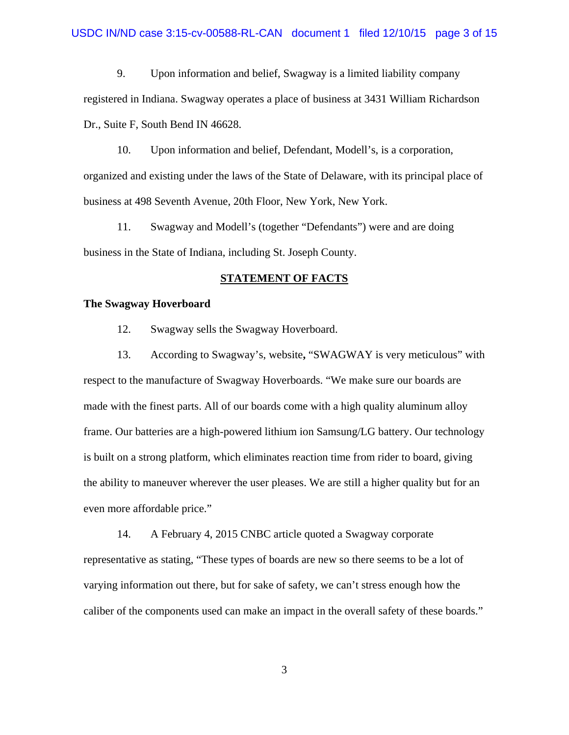9. Upon information and belief, Swagway is a limited liability company registered in Indiana. Swagway operates a place of business at 3431 William Richardson Dr., Suite F, South Bend IN 46628.

10. Upon information and belief, Defendant, Modell's, is a corporation, organized and existing under the laws of the State of Delaware, with its principal place of business at 498 Seventh Avenue, 20th Floor, New York, New York.

11. Swagway and Modell's (together "Defendants") were and are doing business in the State of Indiana, including St. Joseph County.

#### **STATEMENT OF FACTS**

### **The Swagway Hoverboard**

12. Swagway sells the Swagway Hoverboard.

13. According to Swagway's, website**,** "SWAGWAY is very meticulous" with respect to the manufacture of Swagway Hoverboards. "We make sure our boards are made with the finest parts. All of our boards come with a high quality aluminum alloy frame. Our batteries are a high-powered lithium ion Samsung/LG battery. Our technology is built on a strong platform, which eliminates reaction time from rider to board, giving the ability to maneuver wherever the user pleases. We are still a higher quality but for an even more affordable price."

14. A February 4, 2015 CNBC article quoted a Swagway corporate representative as stating, "These types of boards are new so there seems to be a lot of varying information out there, but for sake of safety, we can't stress enough how the caliber of the components used can make an impact in the overall safety of these boards."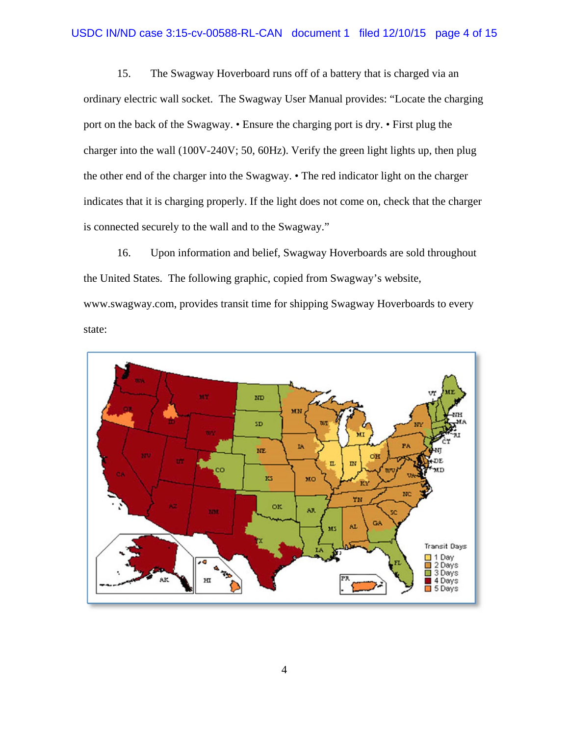15. The Swagway Hoverboard runs off of a battery that is charged via an ordinary electric wall socket. The Swagway User Manual provides: "Locate the charging port on the back of the Swagway. • Ensure the charging port is dry. • First plug the charger into the wall (100V-240V; 50, 60Hz). Verify the green light lights up, then plug the other end of the charger into the Swagway. • The red indicator light on the charger indicates that it is charging properly. If the light does not come on, check that the charger is connected securely to the wall and to the Swagway."

16. Upon information and belief, Swagway Hoverboards are sold throughout the United States. The following graphic, copied from Swagway's website, www.swagway.com, provides transit time for shipping Swagway Hoverboards to every state:

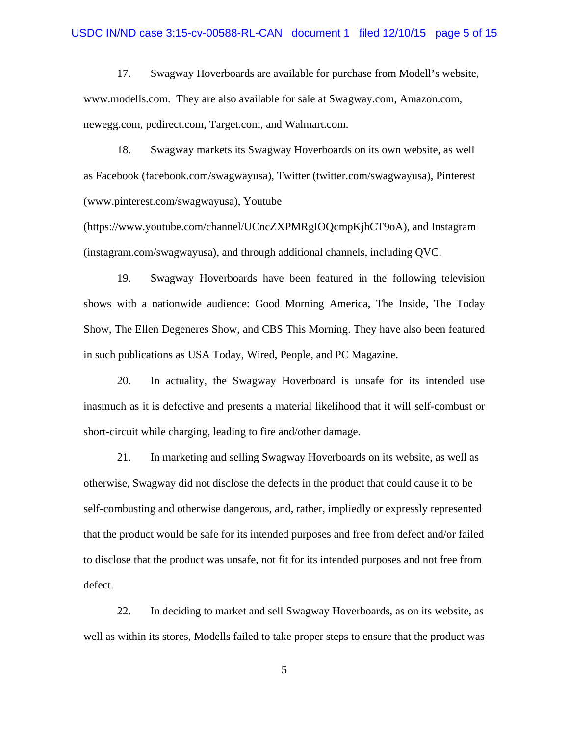#### USDC IN/ND case 3:15-cv-00588-RL-CAN document 1 filed 12/10/15 page 5 of 15

17. Swagway Hoverboards are available for purchase from Modell's website, www.modells.com. They are also available for sale at Swagway.com, Amazon.com, newegg.com, pcdirect.com, Target.com, and Walmart.com.

18. Swagway markets its Swagway Hoverboards on its own website, as well as Facebook (facebook.com/swagwayusa), Twitter (twitter.com/swagwayusa), Pinterest (www.pinterest.com/swagwayusa), Youtube

(https://www.youtube.com/channel/UCncZXPMRgIOQcmpKjhCT9oA), and Instagram (instagram.com/swagwayusa), and through additional channels, including QVC.

19. Swagway Hoverboards have been featured in the following television shows with a nationwide audience: Good Morning America, The Inside, The Today Show, The Ellen Degeneres Show, and CBS This Morning. They have also been featured in such publications as USA Today, Wired, People, and PC Magazine.

20. In actuality, the Swagway Hoverboard is unsafe for its intended use inasmuch as it is defective and presents a material likelihood that it will self-combust or short-circuit while charging, leading to fire and/other damage.

21. In marketing and selling Swagway Hoverboards on its website, as well as otherwise, Swagway did not disclose the defects in the product that could cause it to be self-combusting and otherwise dangerous, and, rather, impliedly or expressly represented that the product would be safe for its intended purposes and free from defect and/or failed to disclose that the product was unsafe, not fit for its intended purposes and not free from defect.

22. In deciding to market and sell Swagway Hoverboards, as on its website, as well as within its stores, Modells failed to take proper steps to ensure that the product was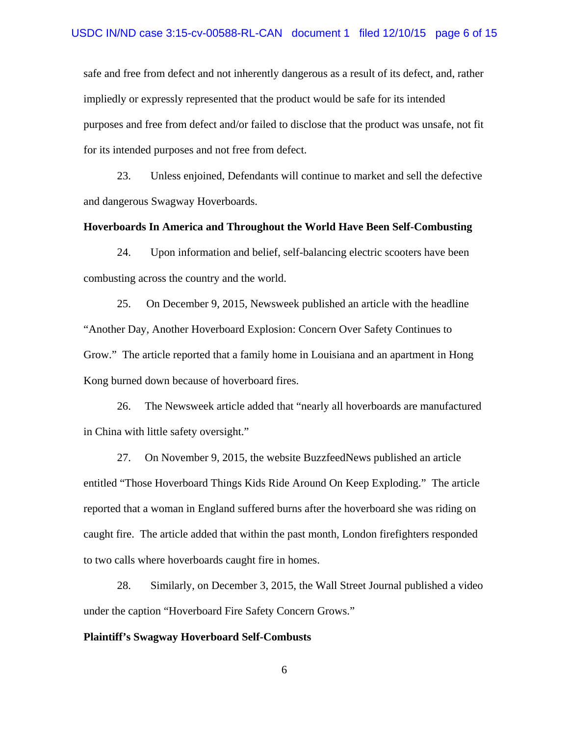safe and free from defect and not inherently dangerous as a result of its defect, and, rather impliedly or expressly represented that the product would be safe for its intended purposes and free from defect and/or failed to disclose that the product was unsafe, not fit for its intended purposes and not free from defect.

23. Unless enjoined, Defendants will continue to market and sell the defective and dangerous Swagway Hoverboards.

#### **Hoverboards In America and Throughout the World Have Been Self-Combusting**

24. Upon information and belief, self-balancing electric scooters have been combusting across the country and the world.

25. On December 9, 2015, Newsweek published an article with the headline "Another Day, Another Hoverboard Explosion: Concern Over Safety Continues to Grow." The article reported that a family home in Louisiana and an apartment in Hong Kong burned down because of hoverboard fires.

26. The Newsweek article added that "nearly all hoverboards are manufactured in China with little safety oversight."

27. On November 9, 2015, the website BuzzfeedNews published an article entitled "Those Hoverboard Things Kids Ride Around On Keep Exploding." The article reported that a woman in England suffered burns after the hoverboard she was riding on caught fire. The article added that within the past month, London firefighters responded to two calls where hoverboards caught fire in homes.

28. Similarly, on December 3, 2015, the Wall Street Journal published a video under the caption "Hoverboard Fire Safety Concern Grows."

#### **Plaintiff's Swagway Hoverboard Self-Combusts**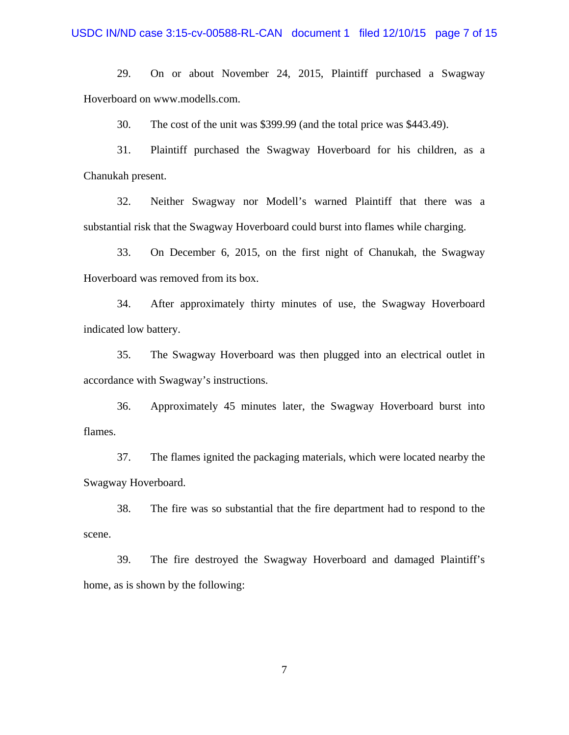29. On or about November 24, 2015, Plaintiff purchased a Swagway Hoverboard on www.modells.com.

30. The cost of the unit was \$399.99 (and the total price was \$443.49).

31. Plaintiff purchased the Swagway Hoverboard for his children, as a Chanukah present.

32. Neither Swagway nor Modell's warned Plaintiff that there was a substantial risk that the Swagway Hoverboard could burst into flames while charging.

33. On December 6, 2015, on the first night of Chanukah, the Swagway Hoverboard was removed from its box.

34. After approximately thirty minutes of use, the Swagway Hoverboard indicated low battery.

35. The Swagway Hoverboard was then plugged into an electrical outlet in accordance with Swagway's instructions.

36. Approximately 45 minutes later, the Swagway Hoverboard burst into flames.

37. The flames ignited the packaging materials, which were located nearby the Swagway Hoverboard.

38. The fire was so substantial that the fire department had to respond to the scene.

39. The fire destroyed the Swagway Hoverboard and damaged Plaintiff's home, as is shown by the following: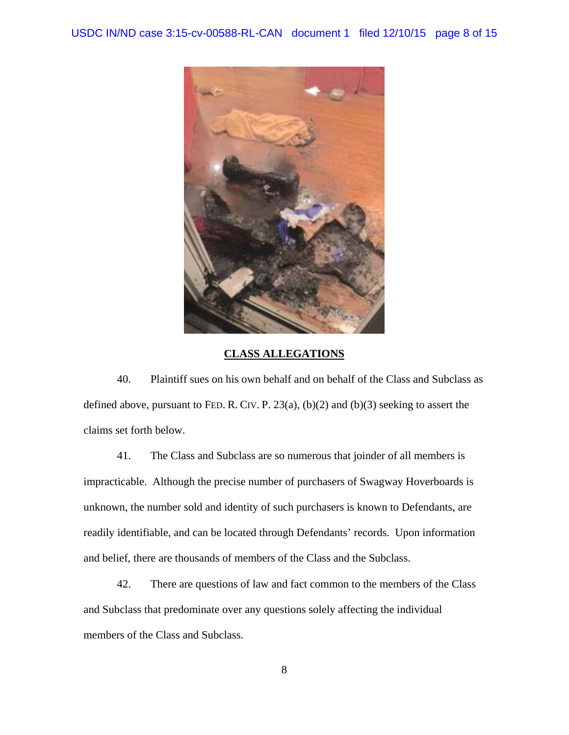

## **CLASS ALLEGATIONS**

40. Plaintiff sues on his own behalf and on behalf of the Class and Subclass as defined above, pursuant to FED. R. CIV. P.  $23(a)$ ,  $(b)(2)$  and  $(b)(3)$  seeking to assert the claims set forth below.

41. The Class and Subclass are so numerous that joinder of all members is impracticable. Although the precise number of purchasers of Swagway Hoverboards is unknown, the number sold and identity of such purchasers is known to Defendants, are readily identifiable, and can be located through Defendants' records. Upon information and belief, there are thousands of members of the Class and the Subclass.

42. There are questions of law and fact common to the members of the Class and Subclass that predominate over any questions solely affecting the individual members of the Class and Subclass.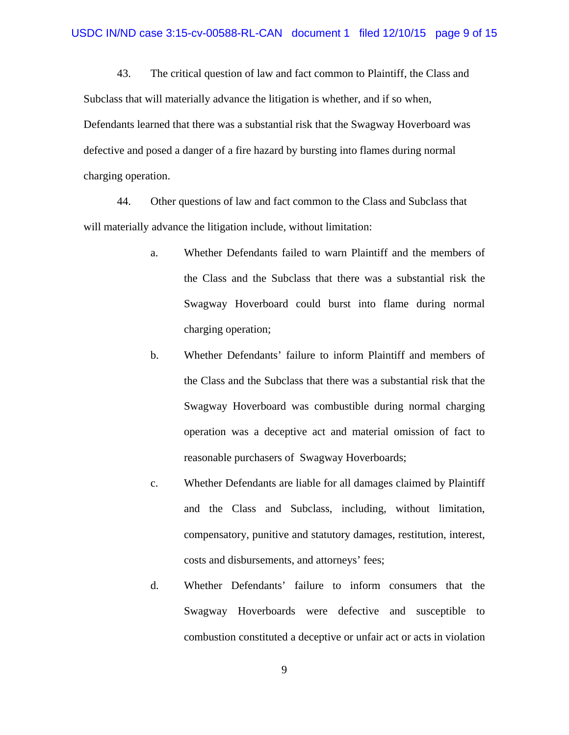43. The critical question of law and fact common to Plaintiff, the Class and Subclass that will materially advance the litigation is whether, and if so when, Defendants learned that there was a substantial risk that the Swagway Hoverboard was defective and posed a danger of a fire hazard by bursting into flames during normal charging operation.

44. Other questions of law and fact common to the Class and Subclass that will materially advance the litigation include, without limitation:

- a. Whether Defendants failed to warn Plaintiff and the members of the Class and the Subclass that there was a substantial risk the Swagway Hoverboard could burst into flame during normal charging operation;
- b. Whether Defendants' failure to inform Plaintiff and members of the Class and the Subclass that there was a substantial risk that the Swagway Hoverboard was combustible during normal charging operation was a deceptive act and material omission of fact to reasonable purchasers of Swagway Hoverboards;
- c. Whether Defendants are liable for all damages claimed by Plaintiff and the Class and Subclass, including, without limitation, compensatory, punitive and statutory damages, restitution, interest, costs and disbursements, and attorneys' fees;
- d. Whether Defendants' failure to inform consumers that the Swagway Hoverboards were defective and susceptible to combustion constituted a deceptive or unfair act or acts in violation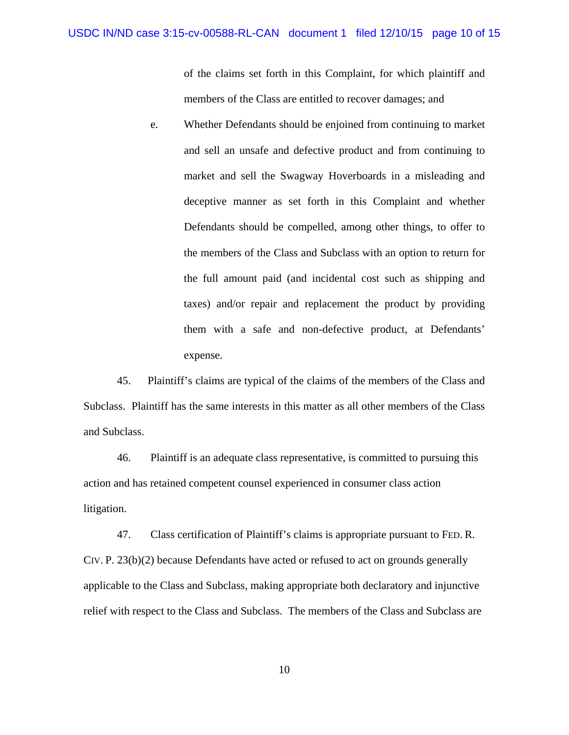of the claims set forth in this Complaint, for which plaintiff and members of the Class are entitled to recover damages; and

e. Whether Defendants should be enjoined from continuing to market and sell an unsafe and defective product and from continuing to market and sell the Swagway Hoverboards in a misleading and deceptive manner as set forth in this Complaint and whether Defendants should be compelled, among other things, to offer to the members of the Class and Subclass with an option to return for the full amount paid (and incidental cost such as shipping and taxes) and/or repair and replacement the product by providing them with a safe and non-defective product, at Defendants' expense.

45. Plaintiff's claims are typical of the claims of the members of the Class and Subclass. Plaintiff has the same interests in this matter as all other members of the Class and Subclass.

46. Plaintiff is an adequate class representative, is committed to pursuing this action and has retained competent counsel experienced in consumer class action litigation.

47. Class certification of Plaintiff's claims is appropriate pursuant to FED. R. CIV. P. 23(b)(2) because Defendants have acted or refused to act on grounds generally applicable to the Class and Subclass, making appropriate both declaratory and injunctive relief with respect to the Class and Subclass. The members of the Class and Subclass are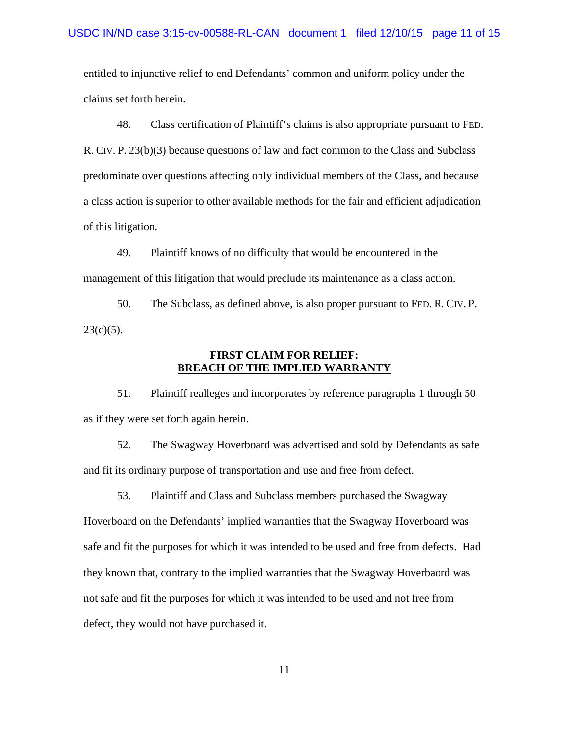entitled to injunctive relief to end Defendants' common and uniform policy under the claims set forth herein.

48. Class certification of Plaintiff's claims is also appropriate pursuant to FED. R. CIV. P. 23(b)(3) because questions of law and fact common to the Class and Subclass predominate over questions affecting only individual members of the Class, and because a class action is superior to other available methods for the fair and efficient adjudication of this litigation.

49. Plaintiff knows of no difficulty that would be encountered in the management of this litigation that would preclude its maintenance as a class action.

50. The Subclass, as defined above, is also proper pursuant to FED. R. CIV. P.  $23(c)(5)$ .

## **FIRST CLAIM FOR RELIEF: BREACH OF THE IMPLIED WARRANTY**

51. Plaintiff realleges and incorporates by reference paragraphs 1 through 50 as if they were set forth again herein.

52. The Swagway Hoverboard was advertised and sold by Defendants as safe and fit its ordinary purpose of transportation and use and free from defect.

53. Plaintiff and Class and Subclass members purchased the Swagway Hoverboard on the Defendants' implied warranties that the Swagway Hoverboard was safe and fit the purposes for which it was intended to be used and free from defects. Had they known that, contrary to the implied warranties that the Swagway Hoverbaord was not safe and fit the purposes for which it was intended to be used and not free from defect, they would not have purchased it.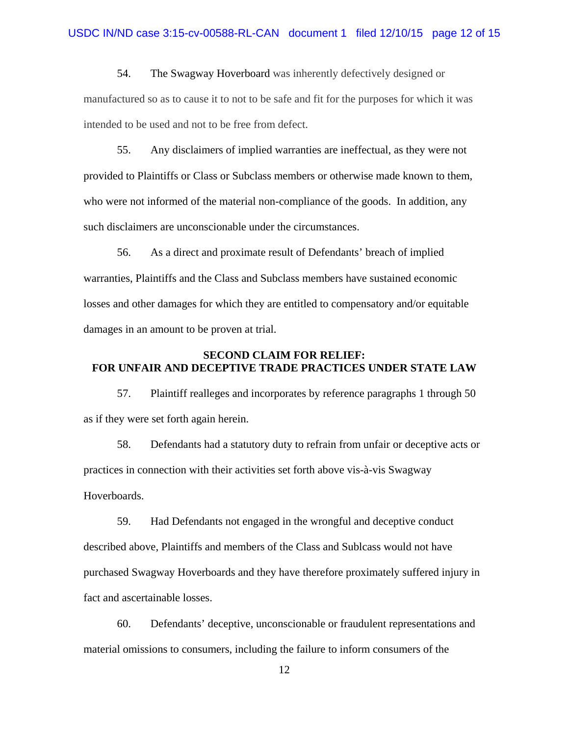54. The Swagway Hoverboard was inherently defectively designed or manufactured so as to cause it to not to be safe and fit for the purposes for which it was intended to be used and not to be free from defect.

55. Any disclaimers of implied warranties are ineffectual, as they were not provided to Plaintiffs or Class or Subclass members or otherwise made known to them, who were not informed of the material non-compliance of the goods. In addition, any such disclaimers are unconscionable under the circumstances.

56. As a direct and proximate result of Defendants' breach of implied warranties, Plaintiffs and the Class and Subclass members have sustained economic losses and other damages for which they are entitled to compensatory and/or equitable damages in an amount to be proven at trial.

## **SECOND CLAIM FOR RELIEF: FOR UNFAIR AND DECEPTIVE TRADE PRACTICES UNDER STATE LAW**

57. Plaintiff realleges and incorporates by reference paragraphs 1 through 50 as if they were set forth again herein.

58. Defendants had a statutory duty to refrain from unfair or deceptive acts or practices in connection with their activities set forth above vis-à-vis Swagway Hoverboards.

59. Had Defendants not engaged in the wrongful and deceptive conduct described above, Plaintiffs and members of the Class and Sublcass would not have purchased Swagway Hoverboards and they have therefore proximately suffered injury in fact and ascertainable losses.

60. Defendants' deceptive, unconscionable or fraudulent representations and material omissions to consumers, including the failure to inform consumers of the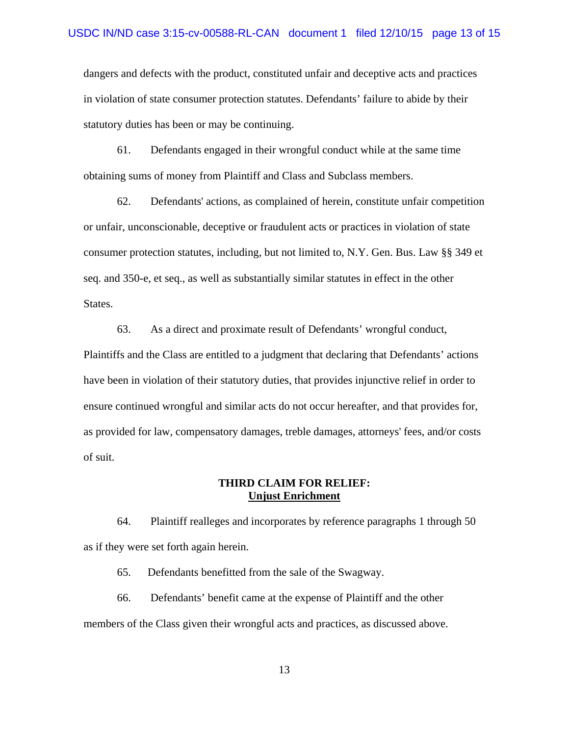dangers and defects with the product, constituted unfair and deceptive acts and practices in violation of state consumer protection statutes. Defendants' failure to abide by their statutory duties has been or may be continuing.

61. Defendants engaged in their wrongful conduct while at the same time obtaining sums of money from Plaintiff and Class and Subclass members.

62. Defendants' actions, as complained of herein, constitute unfair competition or unfair, unconscionable, deceptive or fraudulent acts or practices in violation of state consumer protection statutes, including, but not limited to, N.Y. Gen. Bus. Law §§ 349 et seq. and 350-e, et seq., as well as substantially similar statutes in effect in the other States.

63. As a direct and proximate result of Defendants' wrongful conduct, Plaintiffs and the Class are entitled to a judgment that declaring that Defendants' actions have been in violation of their statutory duties, that provides injunctive relief in order to ensure continued wrongful and similar acts do not occur hereafter, and that provides for, as provided for law, compensatory damages, treble damages, attorneys' fees, and/or costs of suit.

## **THIRD CLAIM FOR RELIEF: Unjust Enrichment**

64. Plaintiff realleges and incorporates by reference paragraphs 1 through 50 as if they were set forth again herein.

65. Defendants benefitted from the sale of the Swagway.

66. Defendants' benefit came at the expense of Plaintiff and the other members of the Class given their wrongful acts and practices, as discussed above.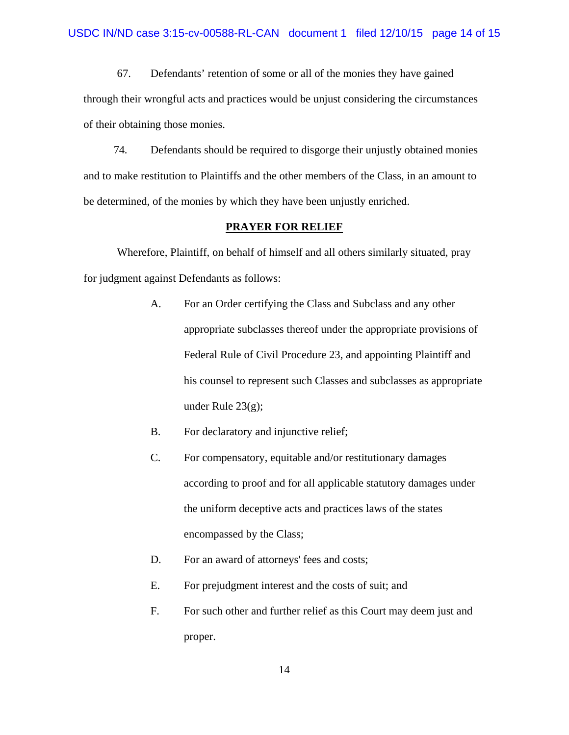67. Defendants' retention of some or all of the monies they have gained through their wrongful acts and practices would be unjust considering the circumstances of their obtaining those monies.

74. Defendants should be required to disgorge their unjustly obtained monies and to make restitution to Plaintiffs and the other members of the Class, in an amount to be determined, of the monies by which they have been unjustly enriched.

#### **PRAYER FOR RELIEF**

 Wherefore, Plaintiff, on behalf of himself and all others similarly situated, pray for judgment against Defendants as follows:

- A. For an Order certifying the Class and Subclass and any other appropriate subclasses thereof under the appropriate provisions of Federal Rule of Civil Procedure 23, and appointing Plaintiff and his counsel to represent such Classes and subclasses as appropriate under Rule  $23(g)$ ;
- B. For declaratory and injunctive relief;
- C. For compensatory, equitable and/or restitutionary damages according to proof and for all applicable statutory damages under the uniform deceptive acts and practices laws of the states encompassed by the Class;
- D. For an award of attorneys' fees and costs;
- E. For prejudgment interest and the costs of suit; and
- F. For such other and further relief as this Court may deem just and proper.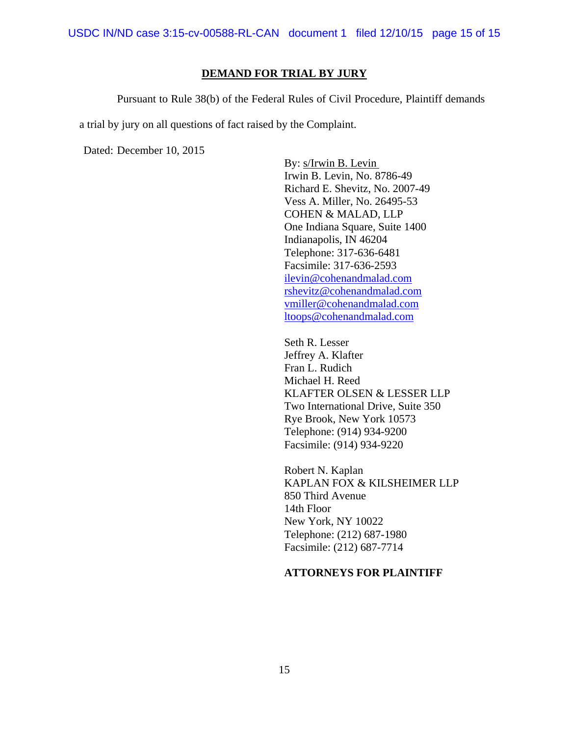### **DEMAND FOR TRIAL BY JURY**

Pursuant to Rule 38(b) of the Federal Rules of Civil Procedure, Plaintiff demands

a trial by jury on all questions of fact raised by the Complaint.

Dated: December 10, 2015

By: s/Irwin B. Levin Irwin B. Levin, No. 8786-49 Richard E. Shevitz, No. 2007-49 Vess A. Miller, No. 26495-53 COHEN & MALAD, LLP One Indiana Square, Suite 1400 Indianapolis, IN 46204 Telephone: 317-636-6481 Facsimile: 317-636-2593 ilevin@cohenandmalad.com rshevitz@cohenandmalad.com vmiller@cohenandmalad.com ltoops@cohenandmalad.com

Seth R. Lesser Jeffrey A. Klafter Fran L. Rudich Michael H. Reed KLAFTER OLSEN & LESSER LLP Two International Drive, Suite 350 Rye Brook, New York 10573 Telephone: (914) 934-9200 Facsimile: (914) 934-9220

 Robert N. Kaplan KAPLAN FOX & KILSHEIMER LLP 850 Third Avenue 14th Floor New York, NY 10022 Telephone: (212) 687-1980 Facsimile: (212) 687-7714

## **ATTORNEYS FOR PLAINTIFF**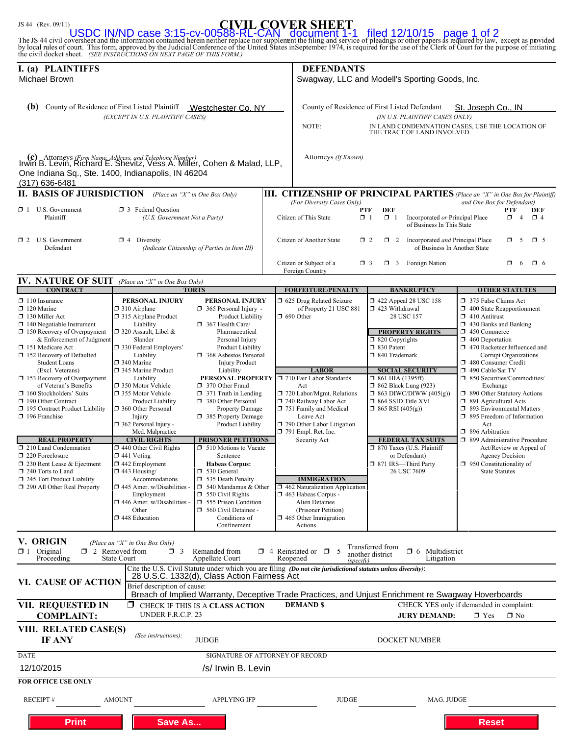# JS 44 (Rev. 09/11) **CIVIL COVER SHEET**

The JS 44 civil coversheet and the information contained herein neither replace nor supplement the filing and service of pleadngs or other papers as required by law, except as provided<br>by local rules of court. This form, a USDC IN/ND case 3:15-cv-00588-RL-CAN document 1-1 filed 12/10/15 page 1 of 2

| I. (a) PLAINTIFFS<br>Michael Brown                                                                                                         |                                                                          |                                                                 |                                                | <b>DEFENDANTS</b>                                                                                                                                                |                                                                                                     |                                                                               |  |
|--------------------------------------------------------------------------------------------------------------------------------------------|--------------------------------------------------------------------------|-----------------------------------------------------------------|------------------------------------------------|------------------------------------------------------------------------------------------------------------------------------------------------------------------|-----------------------------------------------------------------------------------------------------|-------------------------------------------------------------------------------|--|
|                                                                                                                                            |                                                                          |                                                                 | Swagway, LLC and Modell's Sporting Goods, Inc. |                                                                                                                                                                  |                                                                                                     |                                                                               |  |
| (b)                                                                                                                                        | County of Residence of First Listed Plaintiff                            | Westchester Co, NY                                              |                                                |                                                                                                                                                                  | County of Residence of First Listed Defendant                                                       | St. Joseph Co., IN                                                            |  |
|                                                                                                                                            | (EXCEPT IN U.S. PLAINTIFF CASES)                                         |                                                                 |                                                |                                                                                                                                                                  | (IN U.S. PLAINTIFF CASES ONLY)                                                                      |                                                                               |  |
|                                                                                                                                            |                                                                          |                                                                 |                                                | NOTE:                                                                                                                                                            | THE TRACT OF LAND INVOLVED.                                                                         | IN LAND CONDEMNATION CASES, USE THE LOCATION OF                               |  |
|                                                                                                                                            |                                                                          |                                                                 |                                                |                                                                                                                                                                  |                                                                                                     |                                                                               |  |
| (c) Attorneys <i>(Firm Name, Address, and Telephone Number)</i><br>Irwin B. Levin, Richard E. Shevitz, Vess A. Miller, Cohen & Malad, LLP, |                                                                          |                                                                 |                                                | Attorneys (If Known)                                                                                                                                             |                                                                                                     |                                                                               |  |
| One Indiana Sq., Ste. 1400, Indianapolis, IN 46204<br>(317) 636-6481                                                                       |                                                                          |                                                                 |                                                |                                                                                                                                                                  |                                                                                                     |                                                                               |  |
| <b>II. BASIS OF JURISDICTION</b>                                                                                                           |                                                                          | (Place an "X" in One Box Only)                                  |                                                |                                                                                                                                                                  |                                                                                                     | III. CITIZENSHIP OF PRINCIPAL PARTIES (Place an "X" in One Box for Plaintiff) |  |
| $\Box$ 1 U.S. Government                                                                                                                   | <b>1</b> 3 Federal Question                                              |                                                                 |                                                | (For Diversity Cases Only)                                                                                                                                       | <b>DEF</b><br>PTF                                                                                   | and One Box for Defendant)<br><b>PTF</b><br><b>DEF</b>                        |  |
| Plaintiff<br>(U.S. Government Not a Party)                                                                                                 |                                                                          |                                                                 |                                                | $\Box$ 1<br>Incorporated or Principal Place<br>$\Box$<br>$\mathbf{\times}$ 4<br>Citizen of This State<br>$\Box$ 1<br>$\overline{4}$<br>of Business In This State |                                                                                                     |                                                                               |  |
| $\Box$ 2 U.S. Government<br>Defendant                                                                                                      | $\boxtimes$ 4 Diversity<br>(Indicate Citizenship of Parties in Item III) |                                                                 |                                                | $\mathbf{X}$ 2<br>Citizen of Another State<br>Incorporated and Principal Place<br>$\Box$ 2<br>α.<br>-5<br>$\Box$ 5                                               |                                                                                                     |                                                                               |  |
|                                                                                                                                            |                                                                          |                                                                 |                                                | of Business In Another State                                                                                                                                     |                                                                                                     |                                                                               |  |
|                                                                                                                                            |                                                                          |                                                                 |                                                | Citizen or Subject of a<br>Foreign Country                                                                                                                       | $\Box$ 3 Foreign Nation<br>$\Box$ 3                                                                 | α.<br>-6<br>$\Box$ 6                                                          |  |
| <b>IV. NATURE OF SUIT</b> (Place an "X" in One Box Only)<br><b>CONTRACT</b>                                                                |                                                                          | <b>TORTS</b>                                                    |                                                | <b>FORFEITURE/PENALTY</b>                                                                                                                                        | <b>BANKRUPTCY</b>                                                                                   | <b>OTHER STATUTES</b>                                                         |  |
| $\Box$ 110 Insurance                                                                                                                       | PERSONAL INJURY                                                          | PERSONAL INJURY                                                 |                                                | 1 625 Drug Related Seizure                                                                                                                                       | $\Box$ 422 Appeal 28 USC 158                                                                        | 375 False Claims Act                                                          |  |
| $\Box$ 120 Marine<br>$\Box$ 130 Miller Act                                                                                                 | $\Box$ 310 Airplane<br>□ 315 Airplane Product                            | $\Box$ 365 Personal Injury -<br>Product Liability               |                                                | of Property 21 USC 881<br>$\Box$ 690 Other                                                                                                                       | □ 423 Withdrawal<br>28 USC 157                                                                      | 1 400 State Reapportionment<br>$\Box$ 410 Antitrust                           |  |
| $\Box$ 140 Negotiable Instrument<br>$\Box$ 150 Recovery of Overpayment                                                                     | Liability<br>$\Box$ 320 Assault, Libel &                                 | 367 Health Care/<br>Pharmaceutical                              |                                                |                                                                                                                                                                  | <b>PROPERTY RIGHTS</b>                                                                              | 1 430 Banks and Banking<br>450 Commerce                                       |  |
| & Enforcement of Judgment                                                                                                                  | Slander                                                                  | Personal Injury                                                 |                                                |                                                                                                                                                                  | $\Box$ 820 Copyrights                                                                               | $\Box$ 460 Deportation                                                        |  |
| 151 Medicare Act<br>$\Box$ 152 Recovery of Defaulted                                                                                       | 330 Federal Employers'<br>Liability                                      | Product Liability<br>368 Asbestos Personal                      |                                                |                                                                                                                                                                  | □ 830 Patent<br>□ 840 Trademark                                                                     | 1 470 Racketeer Influenced and<br><b>Corrupt Organizations</b>                |  |
| <b>Student Loans</b><br>(Excl. Veterans)                                                                                                   | 340 Marine<br>345 Marine Product                                         | <b>Injury Product</b><br>Liability                              |                                                | <b>LABOR</b>                                                                                                                                                     | <b>SOCIAL SECURITY</b>                                                                              | 480 Consumer Credit<br>490 Cable/Sat TV                                       |  |
| $\Box$ 153 Recovery of Overpayment                                                                                                         | Liability                                                                | PERSONAL PROPERTY □ 710 Fair Labor Standards<br>370 Other Fraud |                                                |                                                                                                                                                                  | $\Box$ 861 HIA (1395ff)                                                                             | □ 850 Securities/Commodities/                                                 |  |
| of Veteran's Benefits<br>$\Box$ 160 Stockholders' Suits                                                                                    | □ 350 Motor Vehicle<br>□ 355 Motor Vehicle                               | $\Box$ 371 Truth in Lending                                     |                                                | Act<br>720 Labor/Mgmt. Relations                                                                                                                                 | $\Box$ 862 Black Lung (923)<br>$\Box$ 863 DIWC/DIWW (405(g))                                        | Exchange<br>1 890 Other Statutory Actions                                     |  |
| X 190 Other Contract<br>195 Contract Product Liability                                                                                     | Product Liability<br>□ 360 Other Personal                                | 380 Other Personal<br>Property Damage                           |                                                | 740 Railway Labor Act<br>751 Family and Medical                                                                                                                  | □ 864 SSID Title XVI<br>$\Box$ 865 RSI (405(g))                                                     | □ 891 Agricultural Acts<br><b>393</b> Environmental Matters                   |  |
| $\Box$ 196 Franchise                                                                                                                       | Injury<br>$\Box$ 362 Personal Injury -                                   | 385 Property Damage<br>Product Liability                        |                                                | Leave Act<br>$\Box$ 790 Other Labor Litigation                                                                                                                   |                                                                                                     | 1 895 Freedom of Information<br>Act                                           |  |
| <b>REAL PROPERTY</b>                                                                                                                       | Med. Malpractice<br><b>CIVIL RIGHTS</b>                                  | <b>PRISONER PETITIONS</b>                                       |                                                | $\Box$ 791 Empl. Ret. Inc.<br>Security Act                                                                                                                       |                                                                                                     | □ 896 Arbitration<br>□ 899 Administrative Procedure                           |  |
| 210 Land Condemnation                                                                                                                      | $\Box$ 440 Other Civil Rights                                            | 510 Motions to Vacate                                           |                                                |                                                                                                                                                                  | <b>FEDERAL TAX SUITS</b><br>□ 870 Taxes (U.S. Plaintiff                                             | Act/Review or Appeal of                                                       |  |
| $\Box$ 220 Foreclosure<br>1 230 Rent Lease & Ejectment                                                                                     | $\Box$ 441 Voting<br>$\Box$ 442 Employment                               | Sentence<br><b>Habeas Corpus:</b>                               |                                                |                                                                                                                                                                  | or Defendant)<br>□ 871 IRS-Third Party                                                              | <b>Agency Decision</b><br>$\Box$ 950 Constitutionality of                     |  |
| $\Box$ 240 Torts to Land<br>245 Tort Product Liability                                                                                     | $\Box$ 443 Housing/<br>Accommodations                                    | □ 530 General<br>535 Death Penalty                              |                                                | <b>IMMIGRATION</b>                                                                                                                                               | 26 USC 7609                                                                                         | <b>State Statutes</b>                                                         |  |
| 290 All Other Real Property                                                                                                                | 445 Amer. w/Disabilities -                                               | $\Box$ 540 Mandamus & Other                                     |                                                | $\Box$ 462 Naturalization Application<br>1463 Habeas Corpus -                                                                                                    |                                                                                                     |                                                                               |  |
|                                                                                                                                            | Employment<br>$\Box$ 446 Amer. w/Disabilities -                          | $\Box$ 550 Civil Rights<br>$\Box$ 555 Prison Condition          |                                                | Alien Detainee                                                                                                                                                   |                                                                                                     |                                                                               |  |
|                                                                                                                                            | Other<br>448 Education                                                   | 560 Civil Detainee -<br>Conditions of                           |                                                | (Prisoner Petition)<br>$\Box$ 465 Other Immigration                                                                                                              |                                                                                                     |                                                                               |  |
|                                                                                                                                            |                                                                          | Confinement                                                     |                                                | Actions                                                                                                                                                          |                                                                                                     |                                                                               |  |
| V. ORIGIN<br>$\mathbf{\times}1$ Original                                                                                                   | (Place an "X" in One Box Only)<br>$\Box$ 2 Removed from<br>$\Box$ 3      | Remanded from                                                   |                                                | $\Box$ 4 Reinstated or $\Box$<br>-5                                                                                                                              | Transferred from<br>$\Box$ 6 Multidistrict<br>another district                                      |                                                                               |  |
| Proceeding                                                                                                                                 | <b>State Court</b>                                                       | Appellate Court                                                 |                                                | Reopened<br>(specify)<br>Cite the U.S. Civil Statute under which you are filing (Do not cite jurisdictional statutes unless diversity):                          | Litigation                                                                                          |                                                                               |  |
| VI. CAUSE OF ACTION                                                                                                                        |                                                                          | 28 U.S.C. 1332(d), Class Action Fairness Act                    |                                                |                                                                                                                                                                  |                                                                                                     |                                                                               |  |
|                                                                                                                                            | Brief description of cause:                                              |                                                                 |                                                |                                                                                                                                                                  | Breach of Implied Warranty, Deceptive Trade Practices, and Unjust Enrichment re Swagway Hoverboards |                                                                               |  |
| <b>VII. REQUESTED IN</b><br><b>COMPLAINT:</b>                                                                                              | UNDER F.R.C.P. 23                                                        | <b>Z</b> CHECK IF THIS IS A CLASS ACTION                        |                                                | <b>DEMAND \$</b>                                                                                                                                                 | <b>JURY DEMAND:</b>                                                                                 | CHECK YES only if demanded in complaint:<br>$\mathbf{X}$ Yes<br>$\Box$ No     |  |
| VIII. RELATED CASE(S)<br>IF ANY                                                                                                            | (See instructions):                                                      | <b>JUDGE</b>                                                    |                                                |                                                                                                                                                                  | <b>DOCKET NUMBER</b>                                                                                |                                                                               |  |
| <b>DATE</b>                                                                                                                                |                                                                          | SIGNATURE OF ATTORNEY OF RECORD                                 |                                                |                                                                                                                                                                  |                                                                                                     |                                                                               |  |
| 12/10/2015                                                                                                                                 |                                                                          | /s/ Irwin B. Levin                                              |                                                |                                                                                                                                                                  |                                                                                                     |                                                                               |  |
| <b>FOR OFFICE USE ONLY</b>                                                                                                                 |                                                                          |                                                                 |                                                |                                                                                                                                                                  |                                                                                                     |                                                                               |  |
| <b>RECEIPT#</b>                                                                                                                            | <b>AMOUNT</b>                                                            | <b>APPLYING IFP</b>                                             |                                                | <b>JUDGE</b>                                                                                                                                                     | MAG. JUDGE                                                                                          |                                                                               |  |
| <b>Save As</b><br><b>Print</b><br><b>Reset</b>                                                                                             |                                                                          |                                                                 |                                                |                                                                                                                                                                  |                                                                                                     |                                                                               |  |
|                                                                                                                                            |                                                                          |                                                                 |                                                |                                                                                                                                                                  |                                                                                                     |                                                                               |  |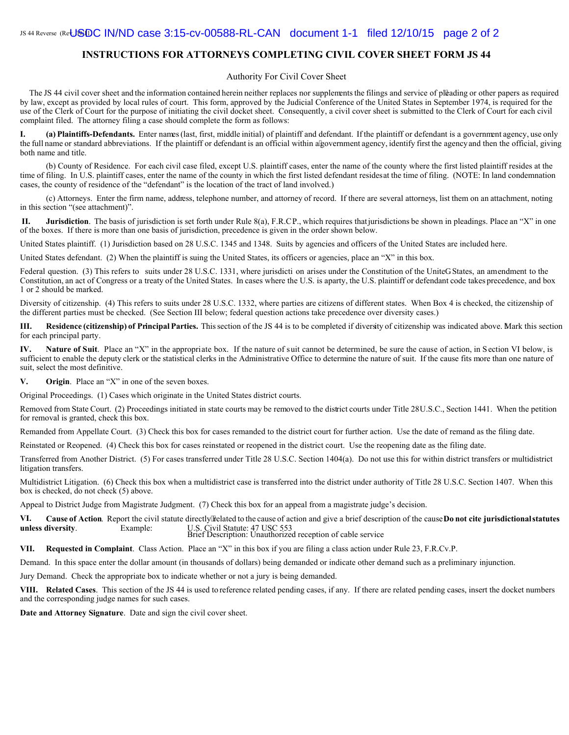#### **INSTRUCTIONS FOR ATTORNEYS COMPLETING CIVIL COVER SHEET FORM JS 44**

#### Authority For Civil Cover Sheet

The JS 44 civil cover sheet and the information contained herein neither replaces nor supplements the filings and service of pleading or other papers as required by law, except as provided by local rules of court. This form, approved by the Judicial Conference of the United States in September 1974, is required for the use of the Clerk of Court for the purpose of initiating the civil docket sheet. Consequently, a civil cover sheet is submitted to the Clerk of Court for each civil complaint filed. The attorney filing a case should complete the form as follows:

**I. (a) Plaintiffs-Defendants.** Enter names (last, first, middle initial) of plaintiff and defendant. If the plaintiff or defendant is a government agency, use only the full name or standard abbreviations. If the plaintiff or defendant is an official within a government agency, identify first the agency and then the official, giving both name and title.

(b) County of Residence. For each civil case filed, except U.S. plaintiff cases, enter the name of the county where the first listed plaintiff resides at the time of filing. In U.S. plaintiff cases, enter the name of the county in which the first listed defendant resides at the time of filing. (NOTE: In land condemnation cases, the county of residence of the "defendant" is the location of the tract of land involved.)

(c) Attorneys. Enter the firm name, address, telephone number, and attorney of record. If there are several attorneys, list them on an attachment, noting in this section "(see attachment)".

**II.** Jurisdiction. The basis of jurisdiction is set forth under Rule 8(a), F.R.C.P., which requires that jurisdictions be shown in pleadings. Place an "X" in one of the boxes. If there is more than one basis of jurisdiction, precedence is given in the order shown below.

United States plaintiff. (1) Jurisdiction based on 28 U.S.C. 1345 and 1348. Suits by agencies and officers of the United States are included here.

United States defendant. (2) When the plaintiff is suing the United States, its officers or agencies, place an "X" in this box.

Federal question. (3) This refers to suits under 28 U.S.C. 1331, where jurisdicti on arises under the Constitution of the Unitef States, an amendment to the Constitution, an act of Congress or a treaty of the United States. In cases where the U.S. is aparty, the U.S. plaintiff or defendant code takes precedence, and box 1 or 2 should be marked.

Diversity of citizenship. (4) This refers to suits under 28 U.S.C. 1332, where parties are citizens of different states. When Box 4 is checked, the citizenship of the different parties must be checked. (See Section III below; federal question actions take precedence over diversity cases.)

**III.** Residence (citizenship) of Principal Parties. This section of the JS 44 is to be completed if diversity of citizenship was indicated above. Mark this section for each principal party.

**IV. Nature of Suit**. Place an "X" in the appropriate box. If the nature of suit cannot be determined, be sure the cause of action, in Section VI below, is sufficient to enable the deputy clerk or the statistical clerks in the Administrative Office to determine the nature of suit. If the cause fits more than one nature of suit, select the most definitive.

**V. Origin**. Place an "X" in one of the seven boxes.

Original Proceedings. (1) Cases which originate in the United States district courts.

Removed from State Court. (2) Proceedings initiated in state courts may be removed to the district courts under Title 28 U.S.C., Section 1441. When the petition for removal is granted, check this box.

Remanded from Appellate Court. (3) Check this box for cases remanded to the district court for further action. Use the date of remand as the filing date.

Reinstated or Reopened. (4) Check this box for cases reinstated or reopened in the district court. Use the reopening date as the filing date.

Transferred from Another District. (5) For cases transferred under Title 28 U.S.C. Section 1404(a). Do not use this for within district transfers or multidistrict litigation transfers.

Multidistrict Litigation. (6) Check this box when a multidistrict case is transferred into the district under authority of Title 28 U.S.C. Section 1407. When this box is checked, do not check (5) above.

Appeal to District Judge from Magistrate Judgment. (7) Check this box for an appeal from a magistrate judge's decision.

VI. Cause of Action. Report the civil statute directly related to the cause of action and give a brief description of the cause **Do not cite jurisdictional statutes unless diversity.** Example: U.S. Civil Statute: 47 USC 553<br>Brief Description: Unauthorized reception of cable service

**VII. Requested in Complaint**. Class Action. Place an "X" in this box if you are filing a class action under Rule 23, F.R.Cv.P.

Demand. In this space enter the dollar amount (in thousands of dollars) being demanded or indicate other demand such as a preliminary injunction.

Jury Demand. Check the appropriate box to indicate whether or not a jury is being demanded.

**VIII. Related Cases**. This section of the JS 44 is used to reference related pending cases, if any. If there are related pending cases, insert the docket numbers and the corresponding judge names for such cases.

**Date and Attorney Signature**. Date and sign the civil cover sheet.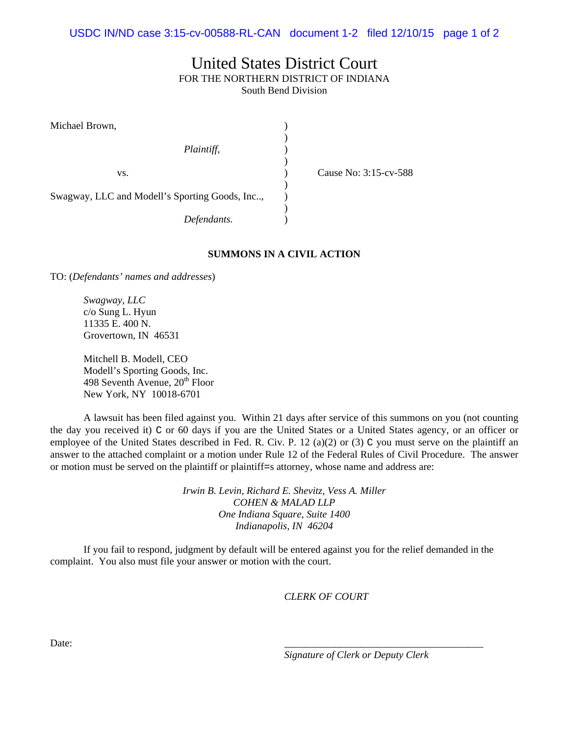## United States District Court FOR THE NORTHERN DISTRICT OF INDIANA South Bend Division

| Michael Brown,                                 |  |    |
|------------------------------------------------|--|----|
|                                                |  |    |
| Plaintiff,                                     |  |    |
|                                                |  |    |
| VS.                                            |  | ٦۶ |
|                                                |  |    |
| Swagway, LLC and Modell's Sporting Goods, Inc, |  |    |
|                                                |  |    |
| Defendants.                                    |  |    |

 $i$ use No: 3:15-cv-588

**SUMMONS IN A CIVIL ACTION** 

TO: (*Defendants' names and addresses*)

*Swagway, LLC*  c/o Sung L. Hyun 11335 E. 400 N. Grovertown, IN 46531

Mitchell B. Modell, CEO Modell's Sporting Goods, Inc. 498 Seventh Avenue,  $20<sup>th</sup>$  Floor New York, NY 10018-6701

A lawsuit has been filed against you.Within 21 days after service of this summons on you (not counting the day you received it) C or 60 days if you are the United States or a United States agency, or an officer or employee of the United States described in Fed. R. Civ. P. 12 (a)(2) or (3) C you must serve on the plaintiff an answer to the attached complaint or a motion under Rule 12 of the Federal Rules of Civil Procedure. The answer or motion must be served on the plaintiff or plaintiff=s attorney, whose name and address are:

> *Irwin B. Levin, Richard E. Shevitz, Vess A. Miller COHEN & MALAD LLP One Indiana Square, Suite 1400 Indianapolis, IN 46204*

If you fail to respond, judgment by default will be entered against you for the relief demanded in the complaint. You also must file your answer or motion with the court.

*CLERK OF COURT* 

Date: